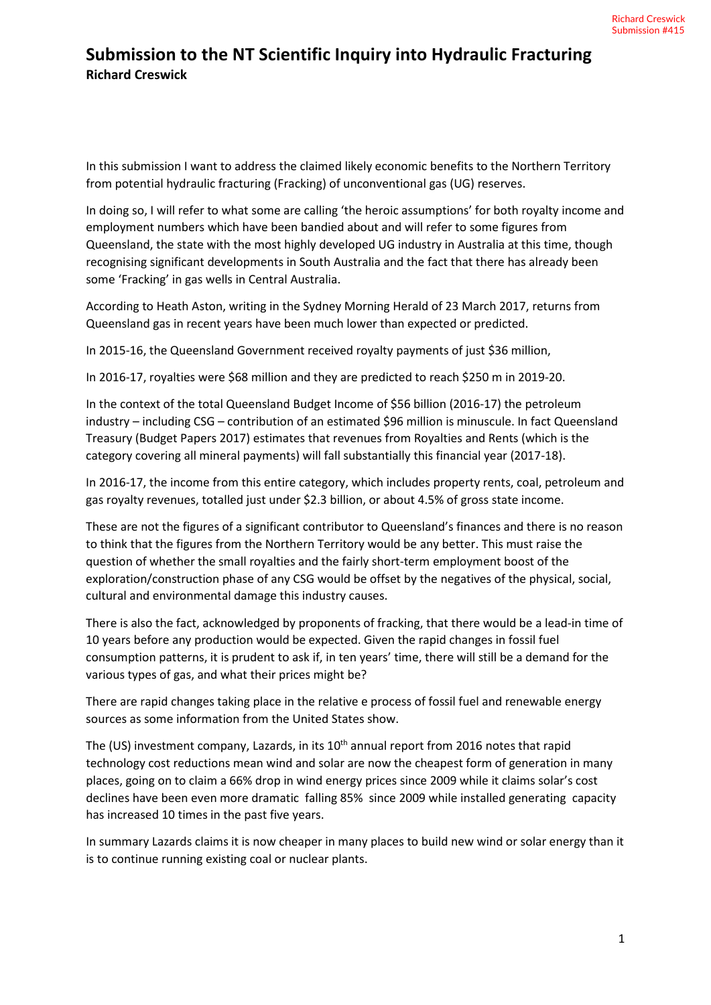In this submission I want to address the claimed likely economic benefits to the Northern Territory from potential hydraulic fracturing (Fracking) of unconventional gas (UG) reserves.

In doing so, I will refer to what some are calling 'the heroic assumptions' for both royalty income and employment numbers which have been bandied about and will refer to some figures from Queensland, the state with the most highly developed UG industry in Australia at this time, though recognising significant developments in South Australia and the fact that there has already been some 'Fracking' in gas wells in Central Australia.

According to Heath Aston, writing in the Sydney Morning Herald of 23 March 2017, returns from Queensland gas in recent years have been much lower than expected or predicted.

In 2015-16, the Queensland Government received royalty payments of just \$36 million,

In 2016-17, royalties were \$68 million and they are predicted to reach \$250 m in 2019-20.

In the context of the total Queensland Budget Income of \$56 billion (2016-17) the petroleum industry – including CSG – contribution of an estimated \$96 million is minuscule. In fact Queensland Treasury (Budget Papers 2017) estimates that revenues from Royalties and Rents (which is the category covering all mineral payments) will fall substantially this financial year (2017-18).

In 2016-17, the income from this entire category, which includes property rents, coal, petroleum and gas royalty revenues, totalled just under \$2.3 billion, or about 4.5% of gross state income.

These are not the figures of a significant contributor to Queensland's finances and there is no reason to think that the figures from the Northern Territory would be any better. This must raise the question of whether the small royalties and the fairly short-term employment boost of the exploration/construction phase of any CSG would be offset by the negatives of the physical, social, cultural and environmental damage this industry causes.

There is also the fact, acknowledged by proponents of fracking, that there would be a lead-in time of 10 years before any production would be expected. Given the rapid changes in fossil fuel consumption patterns, it is prudent to ask if, in ten years' time, there will still be a demand for the various types of gas, and what their prices might be?

There are rapid changes taking place in the relative e process of fossil fuel and renewable energy sources as some information from the United States show.

The (US) investment company, Lazards, in its 10<sup>th</sup> annual report from 2016 notes that rapid technology cost reductions mean wind and solar are now the cheapest form of generation in many places, going on to claim a 66% drop in wind energy prices since 2009 while it claims solar's cost declines have been even more dramatic falling 85% since 2009 while installed generating capacity has increased 10 times in the past five years.

In summary Lazards claims it is now cheaper in many places to build new wind or solar energy than it is to continue running existing coal or nuclear plants.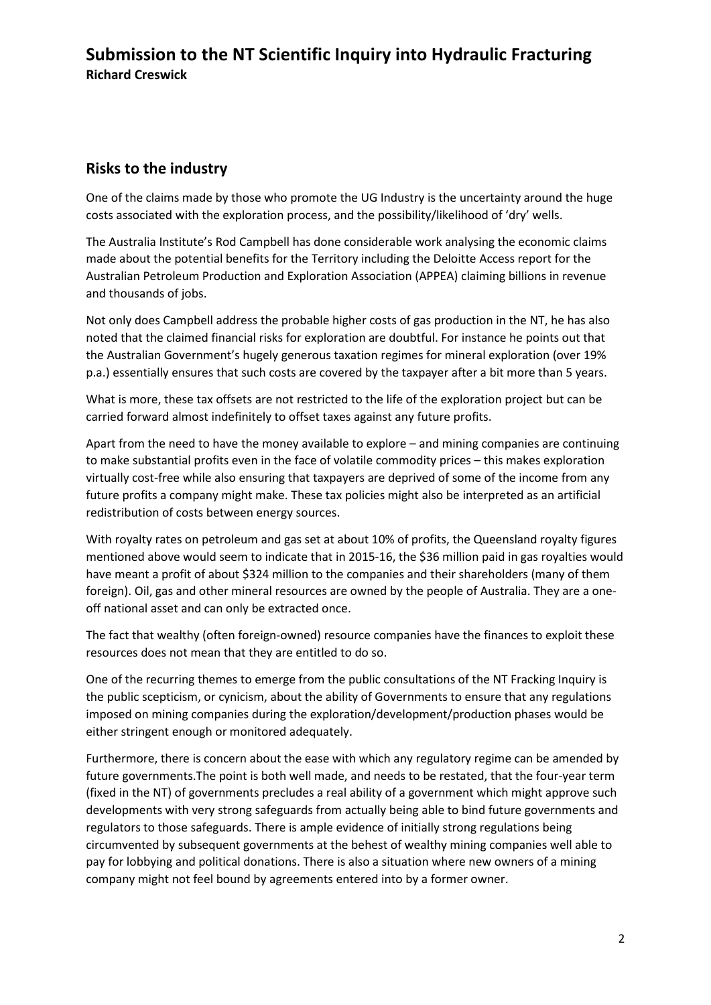#### **Risks to the industry**

One of the claims made by those who promote the UG Industry is the uncertainty around the huge costs associated with the exploration process, and the possibility/likelihood of 'dry' wells.

The Australia Institute's Rod Campbell has done considerable work analysing the economic claims made about the potential benefits for the Territory including the Deloitte Access report for the Australian Petroleum Production and Exploration Association (APPEA) claiming billions in revenue and thousands of jobs.

Not only does Campbell address the probable higher costs of gas production in the NT, he has also noted that the claimed financial risks for exploration are doubtful. For instance he points out that the Australian Government's hugely generous taxation regimes for mineral exploration (over 19% p.a.) essentially ensures that such costs are covered by the taxpayer after a bit more than 5 years.

What is more, these tax offsets are not restricted to the life of the exploration project but can be carried forward almost indefinitely to offset taxes against any future profits.

Apart from the need to have the money available to explore – and mining companies are continuing to make substantial profits even in the face of volatile commodity prices – this makes exploration virtually cost-free while also ensuring that taxpayers are deprived of some of the income from any future profits a company might make. These tax policies might also be interpreted as an artificial redistribution of costs between energy sources.

With royalty rates on petroleum and gas set at about 10% of profits, the Queensland royalty figures mentioned above would seem to indicate that in 2015-16, the \$36 million paid in gas royalties would have meant a profit of about \$324 million to the companies and their shareholders (many of them foreign). Oil, gas and other mineral resources are owned by the people of Australia. They are a oneoff national asset and can only be extracted once.

The fact that wealthy (often foreign-owned) resource companies have the finances to exploit these resources does not mean that they are entitled to do so.

One of the recurring themes to emerge from the public consultations of the NT Fracking Inquiry is the public scepticism, or cynicism, about the ability of Governments to ensure that any regulations imposed on mining companies during the exploration/development/production phases would be either stringent enough or monitored adequately.

Furthermore, there is concern about the ease with which any regulatory regime can be amended by future governments.The point is both well made, and needs to be restated, that the four-year term (fixed in the NT) of governments precludes a real ability of a government which might approve such developments with very strong safeguards from actually being able to bind future governments and regulators to those safeguards. There is ample evidence of initially strong regulations being circumvented by subsequent governments at the behest of wealthy mining companies well able to pay for lobbying and political donations. There is also a situation where new owners of a mining company might not feel bound by agreements entered into by a former owner.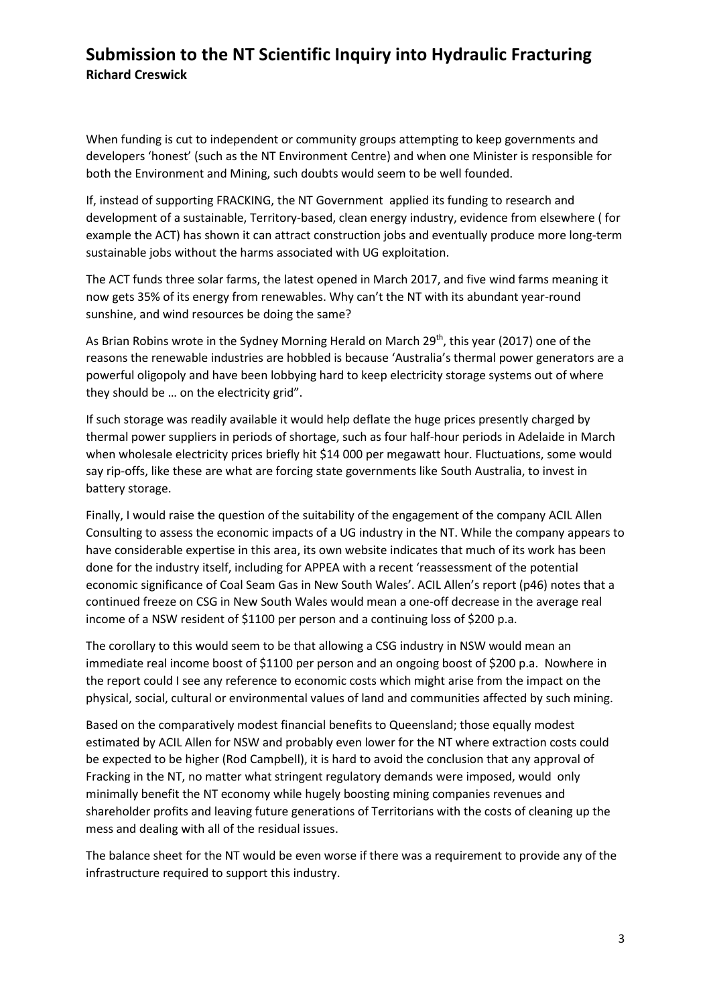When funding is cut to independent or community groups attempting to keep governments and developers 'honest' (such as the NT Environment Centre) and when one Minister is responsible for both the Environment and Mining, such doubts would seem to be well founded.

If, instead of supporting FRACKING, the NT Government applied its funding to research and development of a sustainable, Territory-based, clean energy industry, evidence from elsewhere ( for example the ACT) has shown it can attract construction jobs and eventually produce more long-term sustainable jobs without the harms associated with UG exploitation.

The ACT funds three solar farms, the latest opened in March 2017, and five wind farms meaning it now gets 35% of its energy from renewables. Why can't the NT with its abundant year-round sunshine, and wind resources be doing the same?

As Brian Robins wrote in the Sydney Morning Herald on March 29<sup>th</sup>, this year (2017) one of the reasons the renewable industries are hobbled is because 'Australia's thermal power generators are a powerful oligopoly and have been lobbying hard to keep electricity storage systems out of where they should be … on the electricity grid".

If such storage was readily available it would help deflate the huge prices presently charged by thermal power suppliers in periods of shortage, such as four half-hour periods in Adelaide in March when wholesale electricity prices briefly hit \$14 000 per megawatt hour. Fluctuations, some would say rip-offs, like these are what are forcing state governments like South Australia, to invest in battery storage.

Finally, I would raise the question of the suitability of the engagement of the company ACIL Allen Consulting to assess the economic impacts of a UG industry in the NT. While the company appears to have considerable expertise in this area, its own website indicates that much of its work has been done for the industry itself, including for APPEA with a recent 'reassessment of the potential economic significance of Coal Seam Gas in New South Wales'. ACIL Allen's report (p46) notes that a continued freeze on CSG in New South Wales would mean a one-off decrease in the average real income of a NSW resident of \$1100 per person and a continuing loss of \$200 p.a.

The corollary to this would seem to be that allowing a CSG industry in NSW would mean an immediate real income boost of \$1100 per person and an ongoing boost of \$200 p.a. Nowhere in the report could I see any reference to economic costs which might arise from the impact on the physical, social, cultural or environmental values of land and communities affected by such mining.

Based on the comparatively modest financial benefits to Queensland; those equally modest estimated by ACIL Allen for NSW and probably even lower for the NT where extraction costs could be expected to be higher (Rod Campbell), it is hard to avoid the conclusion that any approval of Fracking in the NT, no matter what stringent regulatory demands were imposed, would only minimally benefit the NT economy while hugely boosting mining companies revenues and shareholder profits and leaving future generations of Territorians with the costs of cleaning up the mess and dealing with all of the residual issues.

The balance sheet for the NT would be even worse if there was a requirement to provide any of the infrastructure required to support this industry.